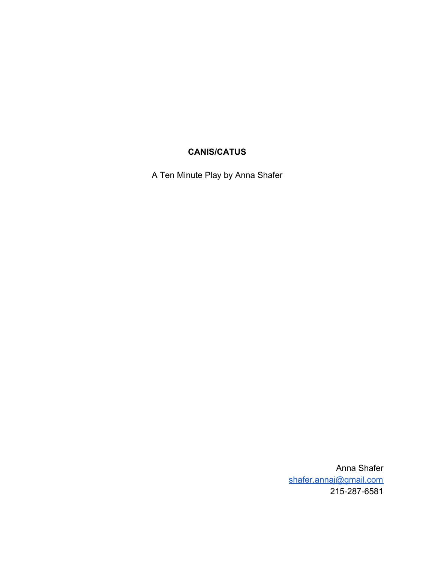# **CANIS/CATUS**

A Ten Minute Play by Anna Shafer

Anna Shafer [shafer.annaj@gmail.com](mailto:shafer.annaj@gmail.com) 215-287-6581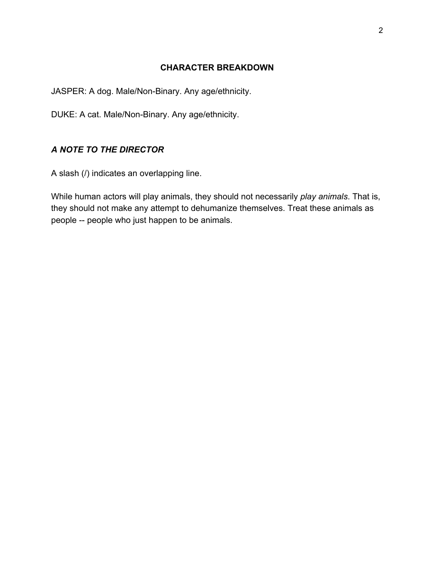## **CHARACTER BREAKDOWN**

JASPER: A dog. Male/Non-Binary. Any age/ethnicity.

DUKE: A cat. Male/Non-Binary. Any age/ethnicity.

## *A NOTE TO THE DIRECTOR*

A slash (/) indicates an overlapping line.

While human actors will play animals, they should not necessarily *play animals*. That is, they should not make any attempt to dehumanize themselves. Treat these animals as people -- people who just happen to be animals.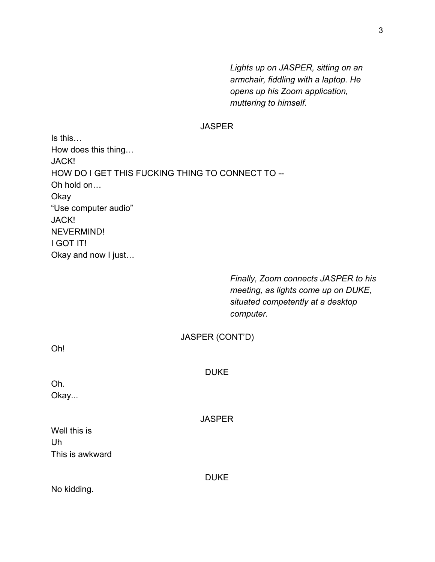*Lights up on JASPER, sitting on an armchair, fiddling with a laptop. He opens up his Zoom application, muttering to himself.*

#### **JASPER**

Is this… How does this thing… JACK! HOW DO I GET THIS FUCKING THING TO CONNECT TO -- Oh hold on… **Okay** "Use computer audio" JACK! NEVERMIND! I GOT IT! Okay and now I just…

> *Finally, Zoom connects JASPER to his meeting, as lights come up on DUKE, situated competently at a desktop computer.*

| Oh!                   | JASPER (CONT'D) |  |
|-----------------------|-----------------|--|
| Oh.<br>Okay           | <b>DUKE</b>     |  |
| Well this is          | <b>JASPER</b>   |  |
| Uh<br>This is awkward |                 |  |
|                       | <b>DUKE</b>     |  |

No kidding.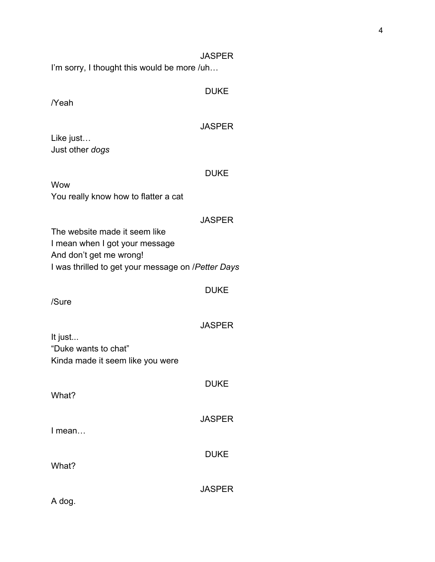I'm sorry, I thought this would be more /uh…

## DUKE

/Yeah

#### **JASPER**

Like just… Just other *dogs*

#### DUKE

Wow You really know how to flatter a cat

#### **JASPER**

The website made it seem like I mean when I got your message And don't get me wrong! I was thrilled to get your message on /*Petter Days*

#### DUKE

**JASPER** 

/Sure

# It just... "Duke wants to chat" Kinda made it seem like you were

DUKE What? **JASPER** I mean… DUKE What? **JASPER** 

A dog.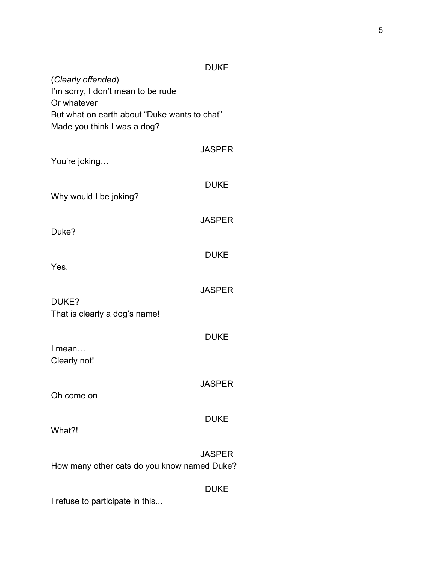|                                                                             | DUKE          |  |
|-----------------------------------------------------------------------------|---------------|--|
| (Clearly offended)<br>I'm sorry, I don't mean to be rude<br>Or whatever     |               |  |
| But what on earth about "Duke wants to chat"<br>Made you think I was a dog? |               |  |
| You're joking                                                               | <b>JASPER</b> |  |
| Why would I be joking?                                                      | <b>DUKE</b>   |  |
| Duke?                                                                       | <b>JASPER</b> |  |
| Yes.                                                                        | <b>DUKE</b>   |  |
| DUKE?                                                                       | <b>JASPER</b> |  |
| That is clearly a dog's name!                                               |               |  |
| I mean<br>Clearly not!                                                      | <b>DUKE</b>   |  |
| Oh come on                                                                  | <b>JASPER</b> |  |
| What?!                                                                      | <b>DUKE</b>   |  |
| How many other cats do you know named Duke?                                 | <b>JASPER</b> |  |
| I refuse to participate in this                                             | DUKE          |  |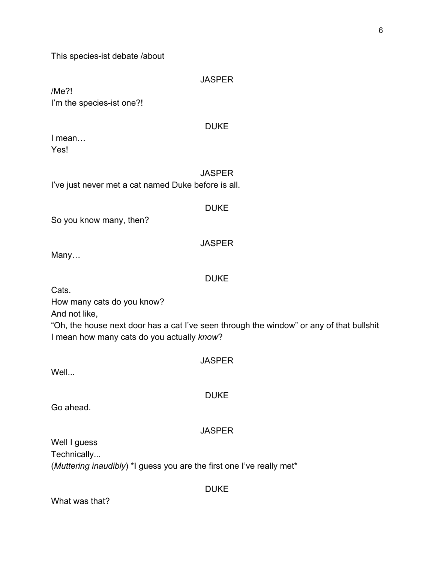This species-ist debate /about

**JASPER** 

/Me?! I'm the species-ist one?!

#### DUKE

I mean… Yes!

**JASPER** I've just never met a cat named Duke before is all.

DUKE

**JASPER** 

So you know many, then?

Many…

## DUKE

Cats.

How many cats do you know?

And not like,

"Oh, the house next door has a cat I've seen through the window" or any of that bullshit I mean how many cats do you actually *know*?

**JASPER** 

Well...

DUKE

Go ahead.

## **JASPER**

Well I guess Technically... (*Muttering inaudibly*) \*I guess you are the first one I've really met\*

What was that?

DUKE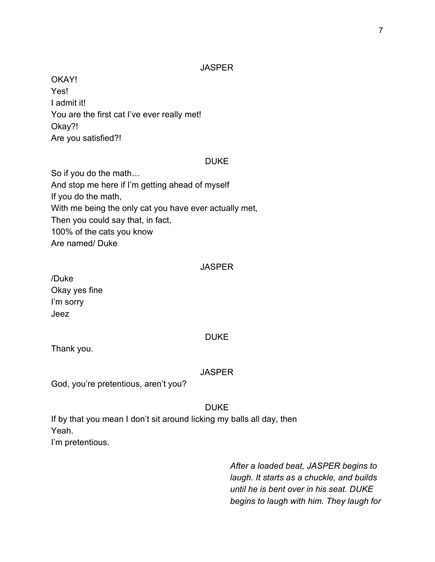OKAY! Yes! I admit it! You are the first cat I've ever really met! Okay?! Are you satisfied?!

#### DUKE

So if you do the math… And stop me here if I'm getting ahead of myself If you do the math, With me being the only cat you have ever actually met, Then you could say that, in fact, 100% of the cats you know Are named/ Duke

#### **JASPER**

/Duke Okay yes fine I'm sorry Jeez

#### DUKE

Thank you.

#### **JASPER**

God, you're pretentious, aren't you?

#### DUKE

If by that you mean I don't sit around licking my balls all day, then Yeah. I'm pretentious.

> *After a loaded beat, JASPER begins to laugh. It starts as a chuckle, and builds until he is bent over in his seat. DUKE begins to laugh with him. They laugh for*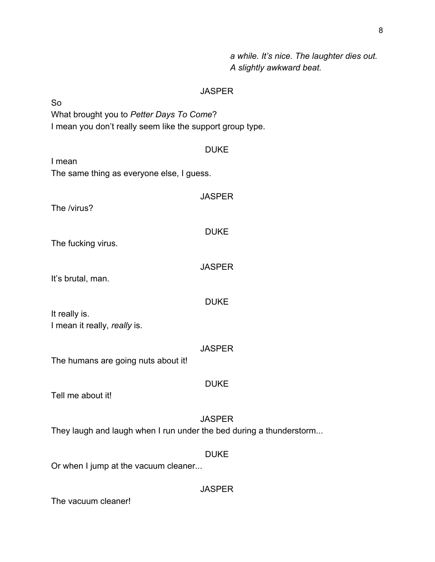*a while. It's nice. The laughter dies out. A slightly awkward beat.*

## JASPER

So What brought you to *Petter Days To Come*? I mean you don't really seem like the support group type.

| I mean                                                              | <b>DUKE</b>   |  |
|---------------------------------------------------------------------|---------------|--|
| The same thing as everyone else, I guess.                           |               |  |
| The /virus?                                                         | <b>JASPER</b> |  |
| The fucking virus.                                                  | <b>DUKE</b>   |  |
| It's brutal, man.                                                   | <b>JASPER</b> |  |
| It really is.<br>I mean it really, really is.                       | <b>DUKE</b>   |  |
| The humans are going nuts about it!                                 | <b>JASPER</b> |  |
| Tell me about it!                                                   | <b>DUKE</b>   |  |
| They laugh and laugh when I run under the bed during a thunderstorm | <b>JASPER</b> |  |
| Or when I jump at the vacuum cleaner                                | <b>DUKE</b>   |  |
|                                                                     | <b>JASPER</b> |  |

The vacuum cleaner!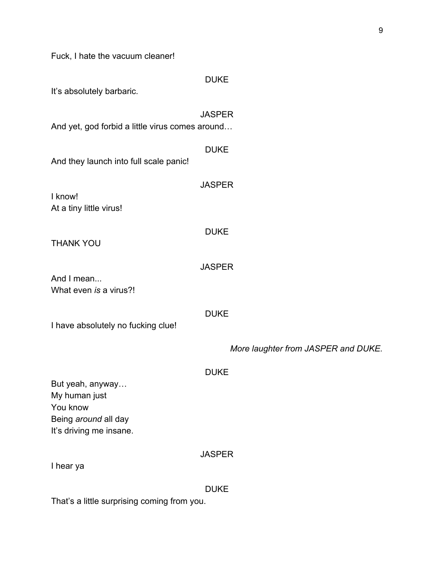Fuck, I hate the vacuum cleaner!

| It's absolutely barbaric.                                                                        | <b>DUKE</b>                         |
|--------------------------------------------------------------------------------------------------|-------------------------------------|
| And yet, god forbid a little virus comes around                                                  | <b>JASPER</b>                       |
| And they launch into full scale panic!                                                           | <b>DUKE</b>                         |
| I know!<br>At a tiny little virus!                                                               | <b>JASPER</b>                       |
| <b>THANK YOU</b>                                                                                 | <b>DUKE</b>                         |
| And I mean<br>What even is a virus?!                                                             | <b>JASPER</b>                       |
| I have absolutely no fucking clue!                                                               | <b>DUKE</b>                         |
|                                                                                                  | More laughter from JASPER and DUKE. |
| But yeah, anyway<br>My human just<br>You know<br>Being around all day<br>It's driving me insane. | <b>DUKE</b>                         |
| I hear ya                                                                                        | <b>JASPER</b>                       |
|                                                                                                  | <b>DUKE</b>                         |

That's a little surprising coming from you.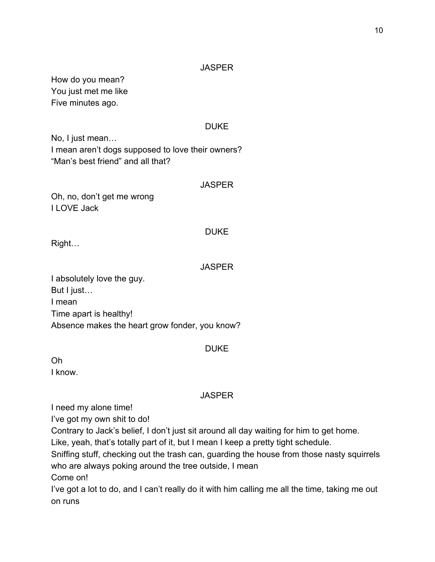How do you mean? You just met me like Five minutes ago.

## DUKE

No, I just mean… I mean aren't dogs supposed to love their owners? "Man's best friend" and all that?

#### **JASPER**

Oh, no, don't get me wrong I LOVE Jack

## DUKE

Right…

## **JASPER**

I absolutely love the guy. But I just… I mean Time apart is healthy! Absence makes the heart grow fonder, you know?

#### DUKE

Oh I know.

## **JASPER**

I need my alone time!

I've got my own shit to do!

Contrary to Jack's belief, I don't just sit around all day waiting for him to get home.

Like, yeah, that's totally part of it, but I mean I keep a pretty tight schedule.

Sniffing stuff, checking out the trash can, guarding the house from those nasty squirrels who are always poking around the tree outside, I mean

Come on!

I've got a lot to do, and I can't really do it with him calling me all the time, taking me out on runs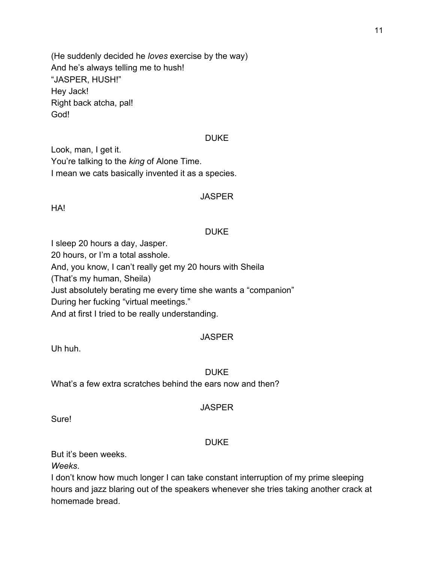(He suddenly decided he *loves* exercise by the way) And he's always telling me to hush! "JASPER, HUSH!" Hey Jack! Right back atcha, pal! God!

#### **DUKE**

Look, man, I get it. You're talking to the *king* of Alone Time. I mean we cats basically invented it as a species.

#### **JASPER**

HA!

## DUKE

I sleep 20 hours a day, Jasper. 20 hours, or I'm a total asshole. And, you know, I can't really get my 20 hours with Sheila (That's my human, Sheila) Just absolutely berating me every time she wants a "companion" During her fucking "virtual meetings." And at first I tried to be really understanding.

## **JASPER**

Uh huh.

## DUKE

What's a few extra scratches behind the ears now and then?

## **JASPER**

Sure!

## DUKE

But it's been weeks.

*Weeks*.

I don't know how much longer I can take constant interruption of my prime sleeping hours and jazz blaring out of the speakers whenever she tries taking another crack at homemade bread.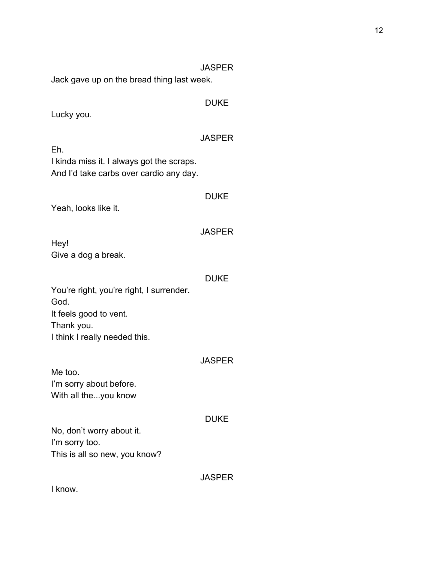Jack gave up on the bread thing last week.

## DUKE

Lucky you.

## **JASPER**

Eh. I kinda miss it. I always got the scraps. And I'd take carbs over cardio any day.

# **DUKE**

Yeah, looks like it.

## **JASPER**

Hey! Give a dog a break.

#### DUKE

You're right, you're right, I surrender. God. It feels good to vent. Thank you. I think I really needed this.

## **JASPER**

Me too. I'm sorry about before. With all the...you know

## DUKE

No, don't worry about it. I'm sorry too. This is all so new, you know?

## **JASPER**

I know.